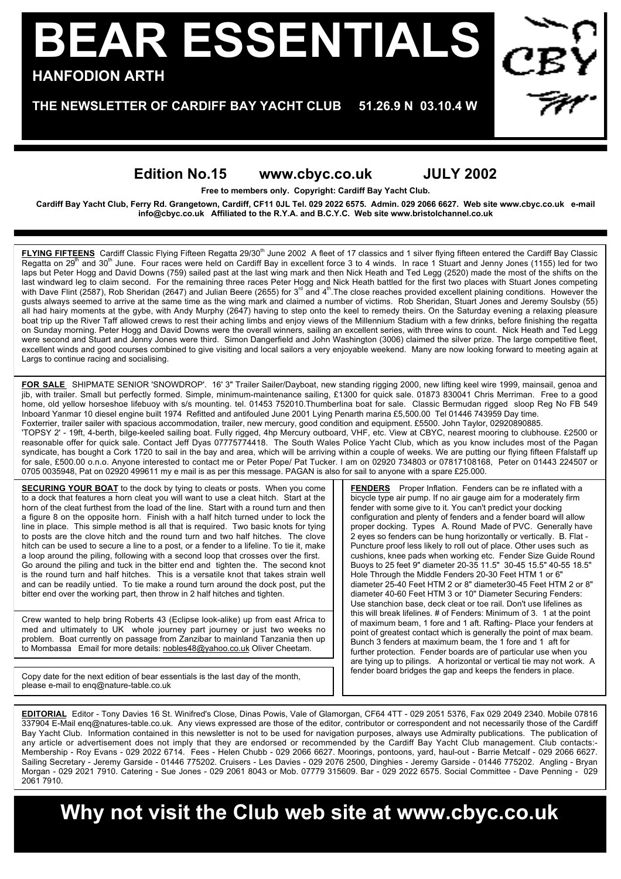## **BEAR ESSENTIALS HANFODION ARTH**

**THE NEWSLETTER OF CARDIFF BAY YACHT CLUB 51.26.9 N 03.10.4 W**

## **Edition No.15 www.cbyc.co.uk JULY 2002**

**Free to members only. Copyright: Cardiff Bay Yacht Club.**

**Cardiff Bay Yacht Club, Ferry Rd. Grangetown, Cardiff, CF11 0JL Tel. 029 2022 6575. Admin. 029 2066 6627. Web site www.cbyc.co.uk e-mail info@cbyc.co.uk Affiliated to the R.Y.A. and B.C.Y.C. Web site www.bristolchannel.co.uk**

**FLYING FIFTEENS** Cardiff Classic Flying Fifteen Regatta 29/30<sup>th</sup> June 2002 A fleet of 17 classics and 1 silver flying fifteen entered the Cardiff Bay Classic Regatta on 29<sup>th</sup> and 30<sup>th</sup> June. Four races were held on Cardiff Bay in excellent force 3 to 4 winds. In race 1 Stuart and Jenny Jones (1155) led for two laps but Peter Hogg and David Downs (759) sailed past at the last wing mark and then Nick Heath and Ted Legg (2520) made the most of the shifts on the last windward leg to claim second. For the remaining three races Peter Hogg and Nick Heath battled for the first two places with Stuart Jones competing<br>with Dave Flint (2587), Rob Sheridan (2647) and Julian Beere (2655) fo gusts always seemed to arrive at the same time as the wing mark and claimed a number of victims. Rob Sheridan, Stuart Jones and Jeremy Soulsby (55) all had hairy moments at the gybe, with Andy Murphy (2647) having to step onto the keel to remedy theirs. On the Saturday evening a relaxing pleasure boat trip up the River Taff allowed crews to rest their aching limbs and enjoy views of the Millennium Stadium with a few drinks, before finishing the regatta on Sunday morning. Peter Hogg and David Downs were the overall winners, sailing an excellent series, with three wins to count. Nick Heath and Ted Legg were second and Stuart and Jenny Jones were third. Simon Dangerfield and John Washington (3006) claimed the silver prize. The large competitive fleet, excellent winds and good courses combined to give visiting and local sailors a very enjoyable weekend. Many are now looking forward to meeting again at Largs to continue racing and socialising.

**FOR SALE** SHIPMATE SENIOR 'SNOWDROP'. 16' 3" Trailer Sailer/Dayboat, new standing rigging 2000, new lifting keel wire 1999, mainsail, genoa and jib, with trailer. Small but perfectly formed. Simple, minimum-maintenance sailing, £1300 for quick sale. 01873 830041 Chris Merriman. Free to a good home, old yellow horseshoe lifebuoy with s/s mounting. tel. 01453 752010.Thumberlina boat for sale. Classic Bermudan rigged sloop Reg No FB 549 Inboard Yanmar 10 diesel engine built 1974 Refitted and antifouled June 2001 Lying Penarth marina £5,500.00 Tel 01446 743959 Day time. Foxterrier, trailer sailer with spacious accommodation, trailer, new mercury, good condition and equipment. £5500. John Taylor, 02920890885. 'TOPSY 2' - 19ft, 4-berth, bilge-keeled sailing boat. Fully rigged, 4hp Mercury outboard, VHF, etc. View at CBYC, nearest mooring to clubhouse. £2500 or

reasonable offer for quick sale. Contact Jeff Dyas 07775774418. The South Wales Police Yacht Club, which as you know includes most of the Pagan syndicate, has bought a Cork 1720 to sail in the bay and area, which will be arriving within a couple of weeks. We are putting our flying fifteen Ffalstaff up for sale, £500.00 o.n.o. Anyone interested to contact me or Peter Pope/ Pat Tucker. I am on 02920 734803 or 07817108168, Peter on 01443 224507 or 0705 0035948, Pat on 02920 499611 my e mail is as per this message. PAGAN is also for sail to anyone with a spare £25.000.

**SECURING YOUR BOAT** to the dock by tying to cleats or posts. When you come to a dock that features a horn cleat you will want to use a cleat hitch. Start at the horn of the cleat furthest from the load of the line. Start with a round turn and then a figure 8 on the opposite horn. Finish with a half hitch turned under to lock the line in place. This simple method is all that is required. Two basic knots for tying to posts are the clove hitch and the round turn and two half hitches. The clove hitch can be used to secure a line to a post, or a fender to a lifeline. To tie it, make a loop around the piling, following with a second loop that crosses over the first. Go around the piling and tuck in the bitter end and tighten the. The second knot is the round turn and half hitches. This is a versatile knot that takes strain well and can be readily untied. To tie make a round turn around the dock post, put the bitter end over the working part, then throw in 2 half hitches and tighten.

Crew wanted to help bring Roberts 43 (Eclipse look-alike) up from east Africa to med and ultimately to UK whole journey part journey or just two weeks no problem. Boat currently on passage from Zanzibar to mainland Tanzania then up to Mombassa Email for more details: nobles48@yahoo.co.uk Oliver Cheetam.

**FENDERS** Proper Inflation. Fenders can be re inflated with a bicycle type air pump. If no air gauge aim for a moderately firm fender with some give to it. You can't predict your docking configuration and plenty of fenders and a fender board will allow proper docking. Types A. Round Made of PVC. Generally have 2 eyes so fenders can be hung horizontally or vertically. B. Flat - Puncture proof less likely to roll out of place. Other uses such as cushions, knee pads when working etc. Fender Size Guide Round Buoys to 25 feet 9" diameter 20-35 11.5" 30-45 15.5" 40-55 18.5" Hole Through the Middle Fenders 20-30 Feet HTM 1 or 6" diameter 25-40 Feet HTM 2 or 8" diameter30-45 Feet HTM 2 or 8" diameter 40-60 Feet HTM 3 or 10" Diameter Securing Fenders: Use stanchion base, deck cleat or toe rail. Don't use lifelines as this will break lifelines. # of Fenders: Minimum of 3. 1 at the point of maximum beam, 1 fore and 1 aft. Rafting- Place your fenders at point of greatest contact which is generally the point of max beam. Bunch 3 fenders at maximum beam, the 1 fore and 1 aft for further protection. Fender boards are of particular use when you are tying up to pilings. A horizontal or vertical tie may not work. A fender board bridges the gap and keeps the fenders in place.

Copy date for the next edition of bear essentials is the last day of the month, please e-mail to enq@nature-table.co.uk

**EDITORIAL** Editor - Tony Davies 16 St. Winifred's Close, Dinas Powis, Vale of Glamorgan, CF64 4TT - 029 2051 5376, Fax 029 2049 2340. Mobile 07816 337904 E-Mail enq@natures-table.co.uk. Any views expressed are those of the editor, contributor or correspondent and not necessarily those of the Cardiff Bay Yacht Club. Information contained in this newsletter is not to be used for navigation purposes, always use Admiralty publications. The publication of any article or advertisement does not imply that they are endorsed or recommended by the Cardiff Bay Yacht Club management. Club contacts:- Membership - Roy Evans - 029 2022 6714. Fees - Helen Chubb - 029 2066 6627. Moorings, pontoons, yard, haul-out - Barrie Metcalf - 029 2066 6627. Sailing Secretary - Jeremy Garside - 01446 775202. Cruisers - Les Davies - 029 2076 2500, Dinghies - Jeremy Garside - 01446 775202. Angling - Bryan Morgan - 029 2021 7910. Catering - Sue Jones - 029 2061 8043 or Mob. 07779 315609. Bar - 029 2022 6575. Social Committee - Dave Penning - 029 2061 7910.

**Why not visit the Club web site at www.cbyc.co.uk**